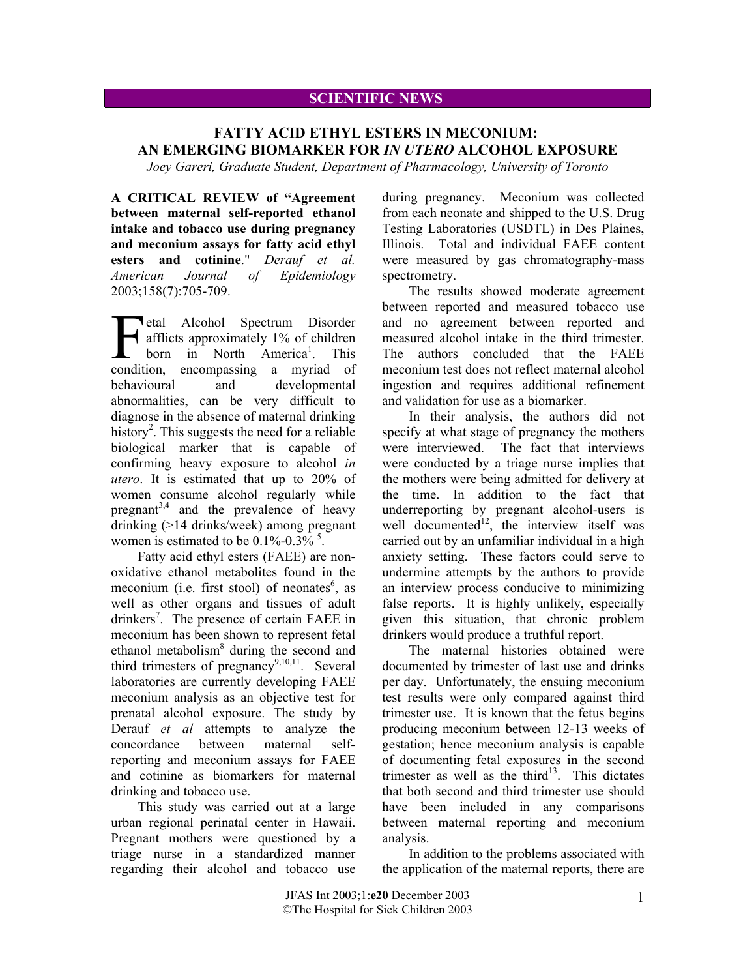## **SCIENTIFIC NEWS**

## **FATTY ACID ETHYL ESTERS IN MECONIUM: AN EMERGING BIOMARKER FOR** *IN UTERO* **ALCOHOL EXPOSURE**

*Joey Gareri, Graduate Student, Department of Pharmacology, University of Toronto*

**A CRITICAL REVIEW of "Agreement between maternal self-reported ethanol intake and tobacco use during pregnancy and meconium assays for fatty acid ethyl esters and cotinine**." *Derauf et al. American Journal of Epidemiology* 2003;158(7):705-709.

**T**etal Alcohol Spectrum Disorder afflicts approximately 1% of children born in North America<sup>1</sup>. This etal Alcohol Spectrum Disorder<br>
afflicts approximately 1% of children<br>
born in North America<sup>1</sup>. This<br>
condition, encompassing a myriad of behavioural and developmental abnormalities, can be very difficult to diagnose in the absence of maternal drinking history<sup>2</sup>. This suggests the need for a reliable biological marker that is capable of confirming heavy exposure to alcohol *in utero*. It is estimated that up to 20% of women consume alcohol regularly while pregnant<sup>3,4</sup> and the prevalence of heavy drinking (>14 drinks/week) among pregnant women is estimated to be  $0.1\%$ - $0.3\%$ <sup>5</sup>.

Fatty acid ethyl esters (FAEE) are nonoxidative ethanol metabolites found in the meconium (i.e. first stool) of neonates<sup>6</sup>, as well as other organs and tissues of adult drinkers<sup>7</sup>. The presence of certain FAEE in meconium has been shown to represent fetal ethanol metabolism<sup>8</sup> during the second and third trimesters of pregnancy<sup>9,10,11</sup>. Several laboratories are currently developing FAEE meconium analysis as an objective test for prenatal alcohol exposure. The study by Derauf *et al* attempts to analyze the concordance between maternal selfreporting and meconium assays for FAEE and cotinine as biomarkers for maternal drinking and tobacco use.

This study was carried out at a large urban regional perinatal center in Hawaii. Pregnant mothers were questioned by a triage nurse in a standardized manner regarding their alcohol and tobacco use during pregnancy. Meconium was collected from each neonate and shipped to the U.S. Drug Testing Laboratories (USDTL) in Des Plaines, Illinois. Total and individual FAEE content were measured by gas chromatography-mass spectrometry.

The results showed moderate agreement between reported and measured tobacco use and no agreement between reported and measured alcohol intake in the third trimester. The authors concluded that the FAEE meconium test does not reflect maternal alcohol ingestion and requires additional refinement and validation for use as a biomarker.

In their analysis, the authors did not specify at what stage of pregnancy the mothers were interviewed. The fact that interviews were conducted by a triage nurse implies that the mothers were being admitted for delivery at the time. In addition to the fact that underreporting by pregnant alcohol-users is well documented<sup>12</sup>, the interview itself was carried out by an unfamiliar individual in a high anxiety setting. These factors could serve to undermine attempts by the authors to provide an interview process conducive to minimizing false reports. It is highly unlikely, especially given this situation, that chronic problem drinkers would produce a truthful report.

The maternal histories obtained were documented by trimester of last use and drinks per day. Unfortunately, the ensuing meconium test results were only compared against third trimester use. It is known that the fetus begins producing meconium between 12-13 weeks of gestation; hence meconium analysis is capable of documenting fetal exposures in the second trimester as well as the third<sup>13</sup>. This dictates that both second and third trimester use should have been included in any comparisons between maternal reporting and meconium analysis.

In addition to the problems associated with the application of the maternal reports, there are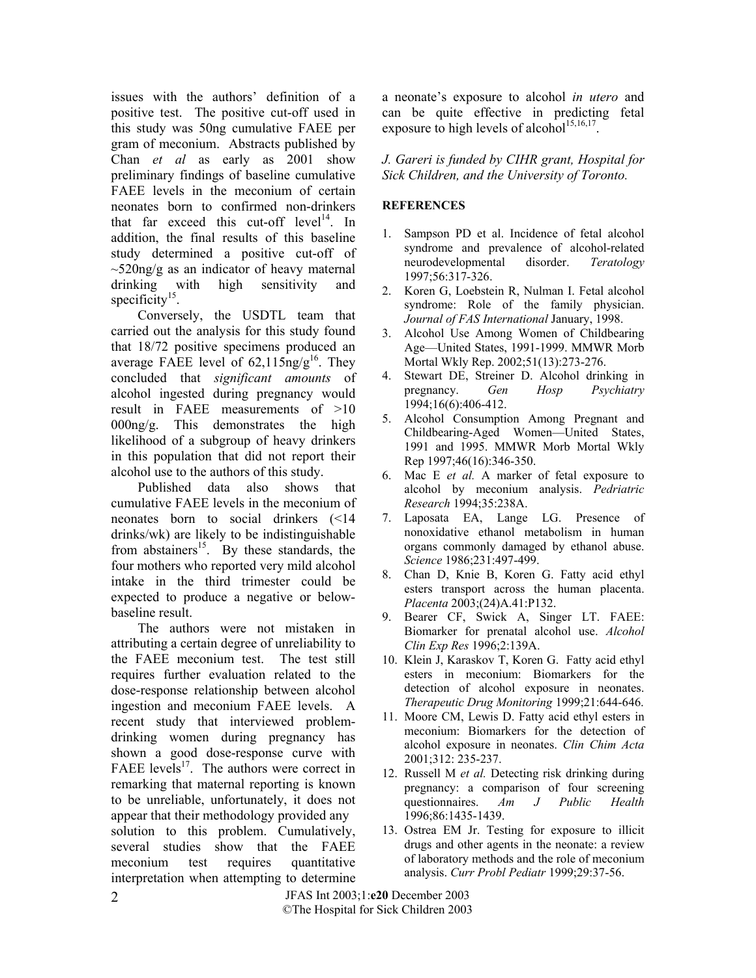issues with the authors' definition of a positive test. The positive cut-off used in this study was 50ng cumulative FAEE per gram of meconium. Abstracts published by Chan *et al* as early as 2001 show preliminary findings of baseline cumulative FAEE levels in the meconium of certain neonates born to confirmed non-drinkers that far exceed this cut-off  $level<sup>14</sup>$ . In addition, the final results of this baseline study determined a positive cut-off of  $\sim$ 520ng/g as an indicator of heavy maternal drinking with high sensitivity and specificity $15$ .

Conversely, the USDTL team that carried out the analysis for this study found that 18/72 positive specimens produced an average FAEE level of  $62,115$ ng/g<sup>16</sup>. They concluded that *significant amounts* of alcohol ingested during pregnancy would result in FAEE measurements of >10 000ng/g. This demonstrates the high likelihood of a subgroup of heavy drinkers in this population that did not report their alcohol use to the authors of this study.

Published data also shows that cumulative FAEE levels in the meconium of neonates born to social drinkers (<14 drinks/wk) are likely to be indistinguishable from abstainers<sup>15</sup>. By these standards, the four mothers who reported very mild alcohol intake in the third trimester could be expected to produce a negative or belowbaseline result.

The authors were not mistaken in attributing a certain degree of unreliability to the FAEE meconium test. The test still requires further evaluation related to the dose-response relationship between alcohol ingestion and meconium FAEE levels. A recent study that interviewed problemdrinking women during pregnancy has shown a good dose-response curve with FAEE levels<sup>17</sup>. The authors were correct in remarking that maternal reporting is known to be unreliable, unfortunately, it does not appear that their methodology provided any solution to this problem. Cumulatively, several studies show that the FAEE meconium test requires quantitative interpretation when attempting to determine

a neonate's exposure to alcohol *in utero* and can be quite effective in predicting fetal exposure to high levels of alcohol<sup>15,16,17</sup>.

*J. Gareri is funded by CIHR grant, Hospital for Sick Children, and the University of Toronto.* 

## **REFERENCES**

- 1. Sampson PD et al. Incidence of fetal alcohol syndrome and prevalence of alcohol-related neurodevelopmental disorder. *Teratology* 1997;56:317-326.
- 2. Koren G, Loebstein R, Nulman I. Fetal alcohol syndrome: Role of the family physician. *Journal of FAS International* January, 1998.
- 3. Alcohol Use Among Women of Childbearing Age—United States, 1991-1999. MMWR Morb Mortal Wkly Rep. 2002;51(13):273-276.
- 4. Stewart DE, Streiner D. Alcohol drinking in pregnancy. *Gen Hosp Psychiatry* 1994;16(6):406-412.
- 5. Alcohol Consumption Among Pregnant and Childbearing-Aged Women—United States, 1991 and 1995. MMWR Morb Mortal Wkly Rep 1997;46(16):346-350.
- 6. Mac E *et al.* A marker of fetal exposure to alcohol by meconium analysis. *Pedriatric Research* 1994;35:238A.
- 7. Laposata EA, Lange LG. Presence of nonoxidative ethanol metabolism in human organs commonly damaged by ethanol abuse. *Science* 1986;231:497-499.
- 8. Chan D, Knie B, Koren G. Fatty acid ethyl esters transport across the human placenta. *Placenta* 2003;(24)A.41:P132.
- 9. Bearer CF, Swick A, Singer LT. FAEE: Biomarker for prenatal alcohol use. *Alcohol Clin Exp Res* 1996;2:139A.
- 10. Klein J, Karaskov T, Koren G. Fatty acid ethyl esters in meconium: Biomarkers for the detection of alcohol exposure in neonates. *Therapeutic Drug Monitoring* 1999;21:644-646.
- 11. Moore CM, Lewis D. Fatty acid ethyl esters in meconium: Biomarkers for the detection of alcohol exposure in neonates. *Clin Chim Acta* 2001;312: 235-237.
- 12. Russell M *et al.* Detecting risk drinking during pregnancy: a comparison of four screening questionnaires. *Am J Public Health* 1996;86:1435-1439.
- 13. Ostrea EM Jr. Testing for exposure to illicit drugs and other agents in the neonate: a review of laboratory methods and the role of meconium analysis. *Curr Probl Pediatr* 1999;29:37-56.